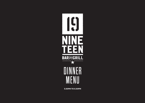

**5.30PM TO 8.30PM**